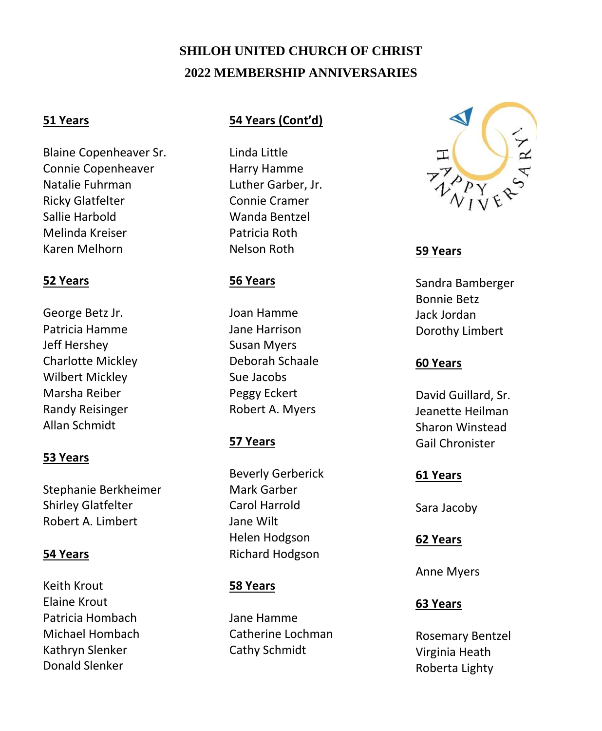# **SHILOH UNITED CHURCH OF CHRIST 2022 MEMBERSHIP ANNIVERSARIES**

## **51 Years**

Blaine Copenheaver Sr. Connie Copenheaver Natalie Fuhrman Ricky Glatfelter Sallie Harbold Melinda Kreiser Karen Melhorn

### **52 Years**

George Betz Jr. Patricia Hamme Jeff Hershey Charlotte Mickley Wilbert Mickley Marsha Reiber Randy Reisinger Allan Schmidt

### **53 Years**

Stephanie Berkheimer Shirley Glatfelter Robert A. Limbert

### **54 Years**

Keith Krout Elaine Krout Patricia Hombach Michael Hombach Kathryn Slenker Donald Slenker

### **54 Years (Cont'd)**

Linda Little Harry Hamme Luther Garber, Jr. Connie Cramer Wanda Bentzel Patricia Roth Nelson Roth

## **56 Years**

Joan Hamme Jane Harrison Susan Myers Deborah Schaale Sue Jacobs Peggy Eckert Robert A. Myers

# **57 Years**

Beverly Gerberick Mark Garber Carol Harrold Jane Wilt Helen Hodgson Richard Hodgson

# **58 Years**

Jane Hamme Catherine Lochman Cathy Schmidt



## **59 Years**

Sandra Bamberger Bonnie Betz Jack Jordan Dorothy Limbert

## **60 Years**

David Guillard, Sr. Jeanette Heilman Sharon Winstead Gail Chronister

### **61 Years**

Sara Jacoby

### **62 Years**

Anne Myers

# **63 Years**

Rosemary Bentzel Virginia Heath Roberta Lighty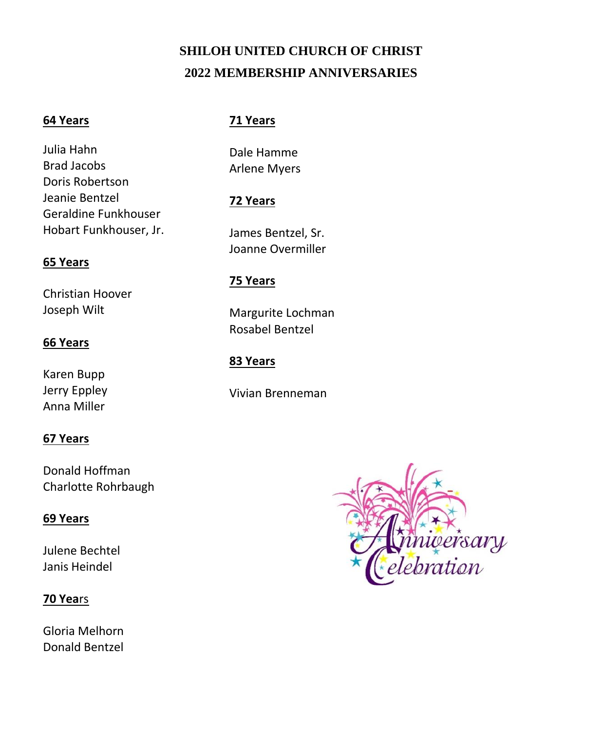# **SHILOH UNITED CHURCH OF CHRIST 2022 MEMBERSHIP ANNIVERSARIES**

### **64 Years**

Julia Hahn Brad Jacobs Doris Robertson Jeanie Bentzel Geraldine Funkhouser Hobart Funkhouser, Jr.

### **65 Years**

Christian Hoover Joseph Wilt

### **66 Years**

Karen Bupp Jerry Eppley Anna Miller

### **67 Years**

Donald Hoffman Charlotte Rohrbaugh

### **69 Years**

Julene Bechtel Janis Heindel

### **70 Yea**rs

Gloria Melhorn Donald Bentzel

### **71 Years**

Dale Hamme Arlene Myers

### **72 Years**

James Bentzel, Sr. Joanne Overmiller

## **75 Years**

Margurite Lochman Rosabel Bentzel

## **83 Years**

Vivian Brenneman